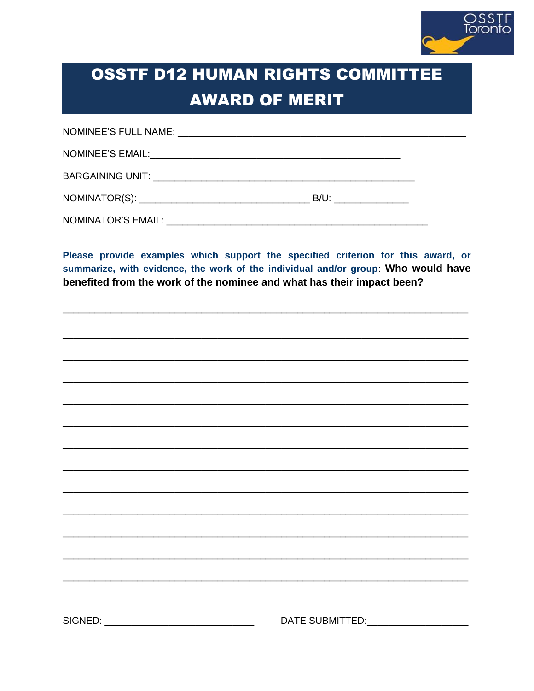

## **OSSTF D12 HUMAN RIGHTS COMMITTEE AWARD OF MERIT**

| $B/U$ : |  |
|---------|--|
|         |  |

Please provide examples which support the specified criterion for this award, or summarize, with evidence, the work of the individual and/or group: Who would have benefited from the work of the nominee and what has their impact been?